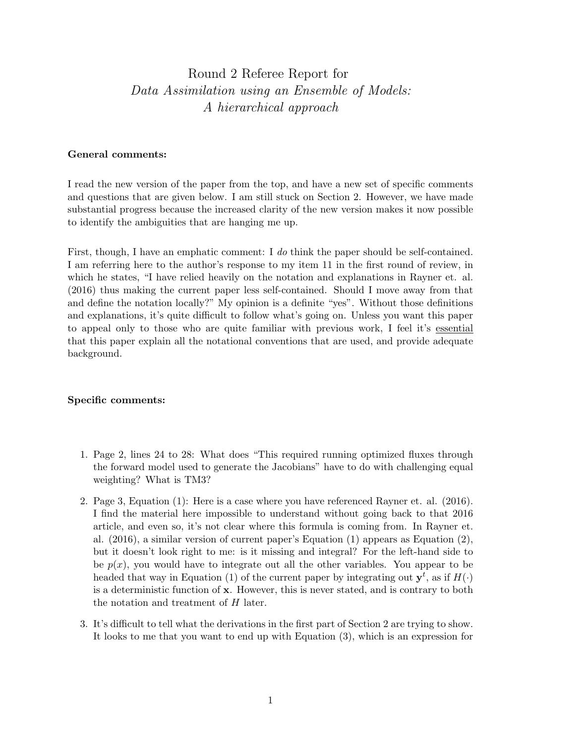## Round 2 Referee Report for Data Assimilation using an Ensemble of Models: A hierarchical approach

## General comments:

I read the new version of the paper from the top, and have a new set of specific comments and questions that are given below. I am still stuck on Section 2. However, we have made substantial progress because the increased clarity of the new version makes it now possible to identify the ambiguities that are hanging me up.

First, though, I have an emphatic comment: I do think the paper should be self-contained. I am referring here to the author's response to my item 11 in the first round of review, in which he states, "I have relied heavily on the notation and explanations in Rayner et. al. (2016) thus making the current paper less self-contained. Should I move away from that and define the notation locally?" My opinion is a definite "yes". Without those definitions and explanations, it's quite difficult to follow what's going on. Unless you want this paper to appeal only to those who are quite familiar with previous work, I feel it's essential that this paper explain all the notational conventions that are used, and provide adequate background.

## Specific comments:

- 1. Page 2, lines 24 to 28: What does "This required running optimized fluxes through the forward model used to generate the Jacobians" have to do with challenging equal weighting? What is TM3?
- 2. Page 3, Equation (1): Here is a case where you have referenced Rayner et. al. (2016). I find the material here impossible to understand without going back to that 2016 article, and even so, it's not clear where this formula is coming from. In Rayner et. al. (2016), a similar version of current paper's Equation (1) appears as Equation (2), but it doesn't look right to me: is it missing and integral? For the left-hand side to be  $p(x)$ , you would have to integrate out all the other variables. You appear to be headed that way in Equation (1) of the current paper by integrating out  $y^t$ , as if  $H(\cdot)$ is a deterministic function of x. However, this is never stated, and is contrary to both the notation and treatment of H later.
- 3. It's difficult to tell what the derivations in the first part of Section 2 are trying to show. It looks to me that you want to end up with Equation (3), which is an expression for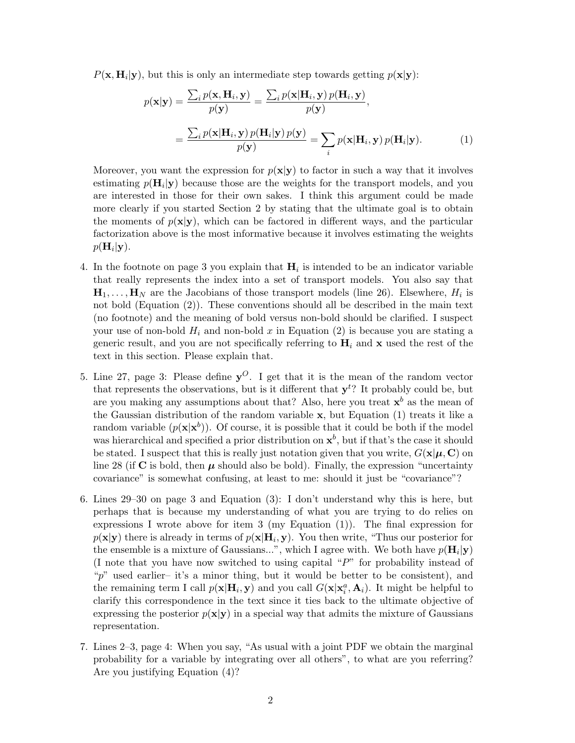$P(\mathbf{x}, \mathbf{H}_i | \mathbf{y})$ , but this is only an intermediate step towards getting  $p(\mathbf{x} | \mathbf{y})$ :

$$
p(\mathbf{x}|\mathbf{y}) = \frac{\sum_{i} p(\mathbf{x}, \mathbf{H}_{i}, \mathbf{y})}{p(\mathbf{y})} = \frac{\sum_{i} p(\mathbf{x}|\mathbf{H}_{i}, \mathbf{y}) p(\mathbf{H}_{i}, \mathbf{y})}{p(\mathbf{y})},
$$

$$
= \frac{\sum_{i} p(\mathbf{x}|\mathbf{H}_{i}, \mathbf{y}) p(\mathbf{H}_{i}|\mathbf{y}) p(\mathbf{y})}{p(\mathbf{y})} = \sum_{i} p(\mathbf{x}|\mathbf{H}_{i}, \mathbf{y}) p(\mathbf{H}_{i}|\mathbf{y}).
$$
(1)

Moreover, you want the expression for  $p(x|y)$  to factor in such a way that it involves estimating  $p(\mathbf{H}_i|\mathbf{y})$  because those are the weights for the transport models, and you are interested in those for their own sakes. I think this argument could be made more clearly if you started Section 2 by stating that the ultimate goal is to obtain the moments of  $p(x|y)$ , which can be factored in different ways, and the particular factorization above is the most informative because it involves estimating the weights  $p(\mathbf{H}_i|\mathbf{y}).$ 

- 4. In the footnote on page 3 you explain that  $H_i$  is intended to be an indicator variable that really represents the index into a set of transport models. You also say that  $\mathbf{H}_1, \ldots, \mathbf{H}_N$  are the Jacobians of those transport models (line 26). Elsewhere,  $H_i$  is not bold (Equation (2)). These conventions should all be described in the main text (no footnote) and the meaning of bold versus non-bold should be clarified. I suspect your use of non-bold  $H_i$  and non-bold x in Equation (2) is because you are stating a generic result, and you are not specifically referring to  $H_i$  and x used the rest of the text in this section. Please explain that.
- 5. Line 27, page 3: Please define  $y^O$ . I get that it is the mean of the random vector that represents the observations, but is it different that  $y<sup>t</sup>$ ? It probably could be, but are you making any assumptions about that? Also, here you treat  $x^b$  as the mean of the Gaussian distribution of the random variable  $x$ , but Equation (1) treats it like a random variable  $(p(\mathbf{x}|\mathbf{x}^b))$ . Of course, it is possible that it could be both if the model was hierarchical and specified a prior distribution on  $x^b$ , but if that's the case it should be stated. I suspect that this is really just notation given that you write,  $G(\mathbf{x}|\boldsymbol{\mu}, \mathbf{C})$  on line 28 (if  $\bf{C}$  is bold, then  $\mu$  should also be bold). Finally, the expression "uncertainty covariance" is somewhat confusing, at least to me: should it just be "covariance"?
- 6. Lines 29–30 on page 3 and Equation (3): I don't understand why this is here, but perhaps that is because my understanding of what you are trying to do relies on expressions I wrote above for item 3 (my Equation (1)). The final expression for  $p(\mathbf{x}|\mathbf{y})$  there is already in terms of  $p(\mathbf{x}|\mathbf{H}_i, \mathbf{y})$ . You then write, "Thus our posterior for the ensemble is a mixture of Gaussians...", which I agree with. We both have  $p(\mathbf{H}_i|\mathbf{y})$ (I note that you have now switched to using capital "P" for probability instead of "p" used earlier– it's a minor thing, but it would be better to be consistent), and the remaining term I call  $p(x|H_i, y)$  and you call  $G(x|x_i^a, A_i)$ . It might be helpful to clarify this correspondence in the text since it ties back to the ultimate objective of expressing the posterior  $p(x|y)$  in a special way that admits the mixture of Gaussians representation.
- 7. Lines 2–3, page 4: When you say, "As usual with a joint PDF we obtain the marginal probability for a variable by integrating over all others", to what are you referring? Are you justifying Equation (4)?